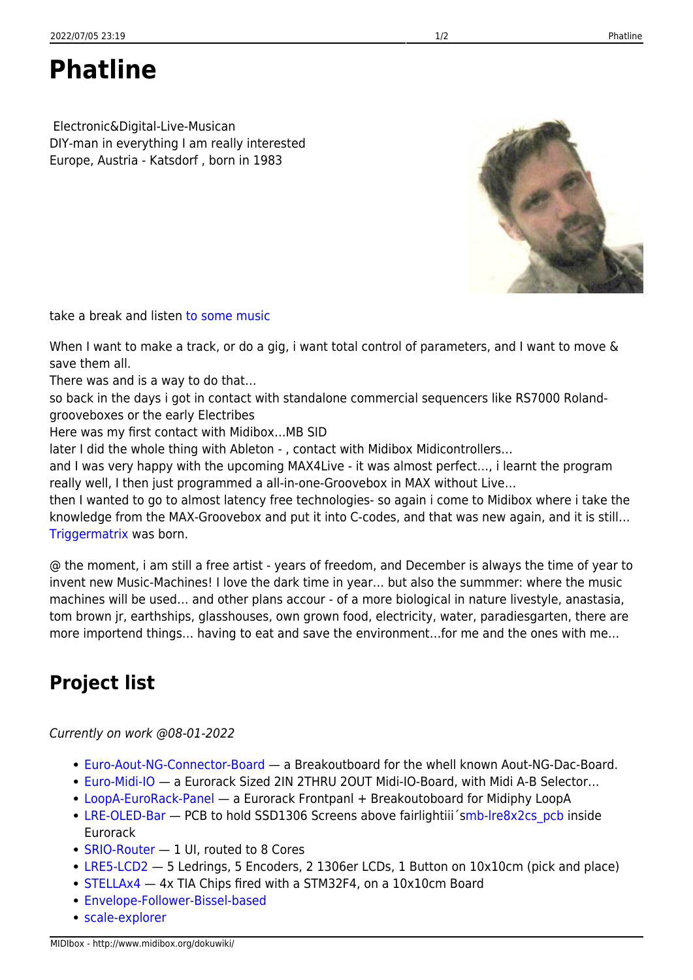**Phatline**

 Electronic&Digital-Live-Musican DIY-man in everything I am really interested Europe, Austria - Katsdorf , born in 1983

take a break and listen [to some music](https://soundcloud.com/transistsyntandsampledrum/technomiliz-holzbrueke)

When I want to make a track, or do a gig, i want total control of parameters, and I want to move & save them all.

There was and is a way to do that…

so back in the days i got in contact with standalone commercial sequencers like RS7000 Rolandgrooveboxes or the early Electribes

Here was my first contact with Midibox…MB SID

later I did the whole thing with Ableton - , contact with Midibox Midicontrollers…

and I was very happy with the upcoming MAX4Live - it was almost perfect…, i learnt the program really well, I then just programmed a all-in-one-Groovebox in MAX without Live…

then I wanted to go to almost latency free technologies- so again i come to Midibox where i take the knowledge from the MAX-Groovebox and put it into C-codes, and that was new again, and it is still… [Triggermatrix](http://www.midibox.org/dokuwiki/doku.php?id=triggermatrix) was born.

@ the moment, i am still a free artist - years of freedom, and December is always the time of year to invent new Music-Machines! I love the dark time in year… but also the summmer: where the music machines will be used… and other plans accour - of a more biological in nature livestyle, anastasia, tom brown jr, earthships, glasshouses, own grown food, electricity, water, paradiesgarten, there are more importend things… having to eat and save the environment…for me and the ones with me…

## **Project list**

Currently on work @08-01-2022

- [Euro-Aout-NG-Connector-Board](http://www.midibox.org/dokuwiki/doku.php?id=euro-aout-ng-connector-board)  a Breakoutboard for the whell known Aout-NG-Dac-Board.
- [Euro-Midi-IO](http://www.midibox.org/dokuwiki/doku.php?id=euro-midi-io) a Eurorack Sized 2IN 2THRU 2OUT Midi-IO-Board, with Midi A-B Selector…
- [LoopA-EuroRack-Panel](http://www.midibox.org/dokuwiki/doku.php?id=loopa-eurorack-panel) a Eurorack Frontpanl + Breakoutoboard for Midiphy LoopA
- [LRE-OLED-Bar](http://www.midibox.org/dokuwiki/doku.php?id=lre-oled-bar) PCB to hold SSD1306 Screens above fairlightiii 'smb-lre8x2cs pcb inside Eurorack
- [SRIO-Router](http://www.midibox.org/dokuwiki/doku.php?id=srio-router) 1 UI, routed to 8 Cores
- [LRE5-LCD2](http://www.midibox.org/dokuwiki/doku.php?id=lre5-lcd2) 5 Ledrings, 5 Encoders, 2 1306er LCDs, 1 Button on 10x10cm (pick and place)
- [STELLAx4](http://www.midibox.org/dokuwiki/doku.php?id=stellax4) 4x TIA Chips fired with a STM32F4, on a 10x10cm Board
- [Envelope-Follower-Bissel-based](http://www.midibox.org/dokuwiki/doku.php?id=envelope-follower-bissel-based)
- [scale-explorer](http://www.midibox.org/dokuwiki/doku.php?id=scale-explorer)